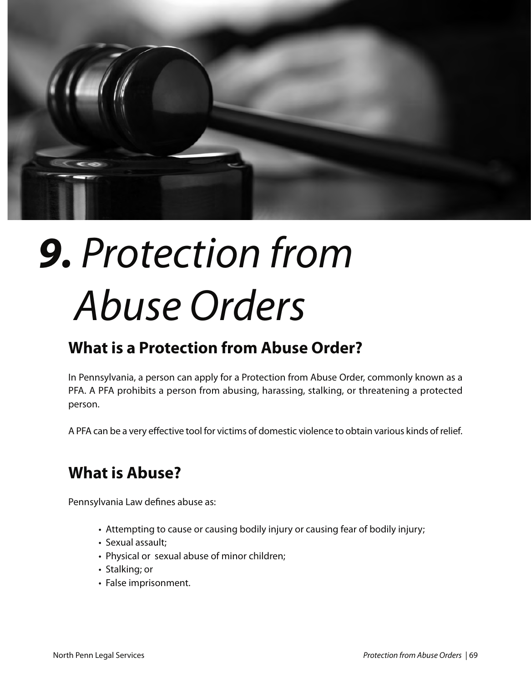

# *9. Protection from Abuse Orders*

### **What is a Protection from Abuse Order?**

In Pennsylvania, a person can apply for a Protection from Abuse Order, commonly known as a PFA. A PFA prohibits a person from abusing, harassing, stalking, or threatening a protected person.

A PFA can be a very effective tool for victims of domestic violence to obtain various kinds of relief.

### **What is Abuse?**

Pennsylvania Law defines abuse as:

- Attempting to cause or causing bodily injury or causing fear of bodily injury;
- Sexual assault;
- Physical or sexual abuse of minor children;
- Stalking; or
- False imprisonment.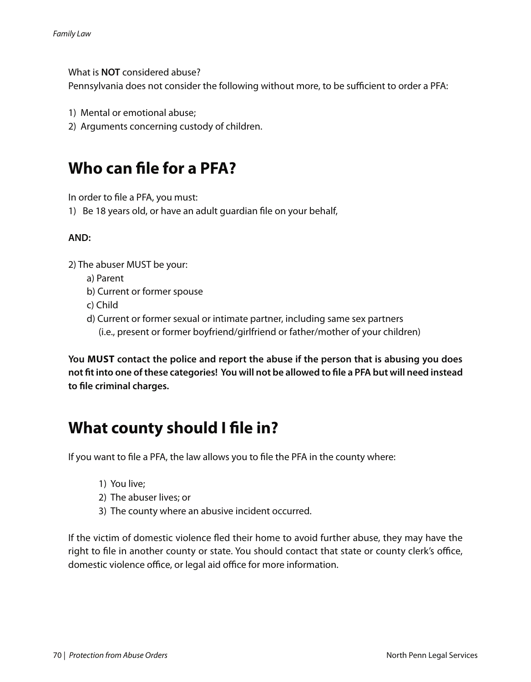What is **NOT** considered abuse?

Pennsylvania does not consider the following without more, to be sufficient to order a PFA:

- 1) Mental or emotional abuse;
- 2) Arguments concerning custody of children.

### **Who can file for a PFA?**

In order to file a PFA, you must:

1) Be 18 years old, or have an adult guardian file on your behalf,

#### **AND:**

2) The abuser MUST be your:

- a) Parent
- b) Current or former spouse
- c) Child
- d) Current or former sexual or intimate partner, including same sex partners (i.e., present or former boyfriend/girlfriend or father/mother of your children)

**You must contact the police and report the abuse if the person that is abusing you does not fit into one of these categories! You will not be allowed to file a PFA but will need instead to file criminal charges.**

### **What county should I file in?**

If you want to file a PFA, the law allows you to file the PFA in the county where:

- 1) You live;
- 2) The abuser lives; or
- 3) The county where an abusive incident occurred.

If the victim of domestic violence fled their home to avoid further abuse, they may have the right to file in another county or state. You should contact that state or county clerk's office, domestic violence office, or legal aid office for more information.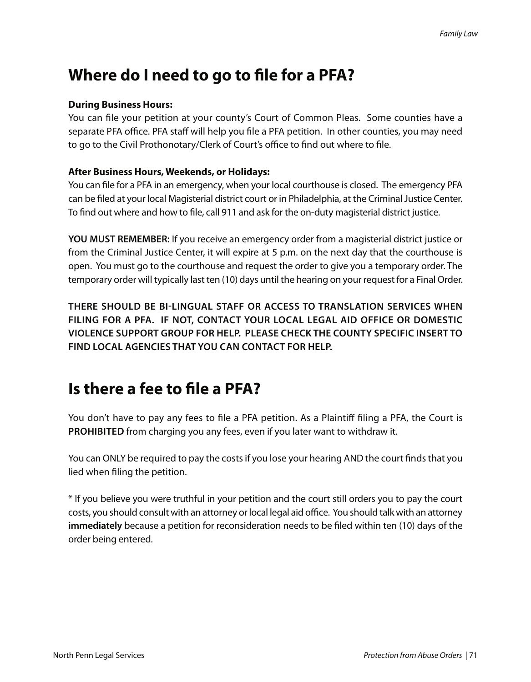### **Where do I need to go to file for a PFA?**

#### **During Business Hours:**

You can file your petition at your county's Court of Common Pleas. Some counties have a separate PFA office. PFA staff will help you file a PFA petition. In other counties, you may need to go to the Civil Prothonotary/Clerk of Court's office to find out where to file.

#### **After Business Hours, Weekends, or Holidays:**

You can file for a PFA in an emergency, when your local courthouse is closed. The emergency PFA can be filed at your local Magisterial district court or in Philadelphia, at the Criminal Justice Center. To find out where and how to file, call 911 and ask for the on-duty magisterial district justice.

**YOU MUST REMEMBER:** If you receive an emergency order from a magisterial district justice or from the Criminal Justice Center, it will expire at 5 p.m. on the next day that the courthouse is open. You must go to the courthouse and request the order to give you a temporary order. The temporary order will typically last ten (10) days until the hearing on your request for a Final Order.

**THERE SHOULD BE BI-LINGUAL STAFF OR ACCESS TO TRANSLATION SERVICES WHEN FILING FOR A PFA. IF NOT, CONTACT YOUR LOCAL LEGAL AID OFFICE OR DOMESTIC VIOLENCE SUPPORT GROUP FOR HELP. PLEASE CHECk THE COUNTY SPECIFIC INSERT TO FIND LOCAL AGENCIES THAT YOU CAN CONTACT FOR HELP.**

# **Is there a fee to file a PFA?**

You don't have to pay any fees to file a PFA petition. As a Plaintiff filing a PFA, the Court is **PROHIBITED** from charging you any fees, even if you later want to withdraw it.

You can ONLY be required to pay the costs if you lose your hearing AND the court finds that you lied when filing the petition.

\* If you believe you were truthful in your petition and the court still orders you to pay the court costs, you should consult with an attorney or local legal aid office. You should talk with an attorney **immediately** because a petition for reconsideration needs to be filed within ten (10) days of the order being entered.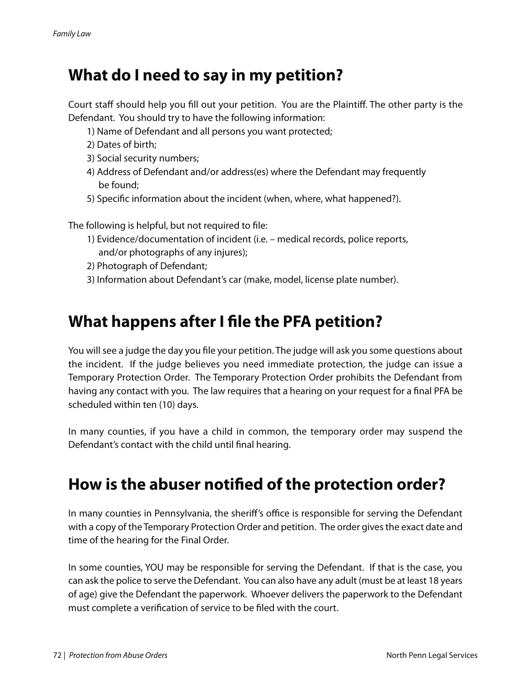### **What do I need to say in my petition?**

Court staff should help you fill out your petition. You are the Plaintiff. The other party is the Defendant. You should try to have the following information:

- 1) Name of Defendant and all persons you want protected;
- 2) Dates of birth;
- 3) Social security numbers;
- 4) Address of Defendant and/or address(es) where the Defendant may frequently be found;
- 5) Specific information about the incident (when, where, what happened?).

The following is helpful, but not required to file:

- 1) Evidence/documentation of incident (i.e. medical records, police reports, and/or photographs of any injures);
- 2) Photograph of Defendant;
- 3) Information about Defendant's car (make, model, license plate number).

### **What happens after I file the PFA petition?**

You will see a judge the day you file your petition. The judge will ask you some questions about the incident. If the judge believes you need immediate protection, the judge can issue a Temporary Protection Order. The Temporary Protection Order prohibits the Defendant from having any contact with you. The law requires that a hearing on your request for a final PFA be scheduled within ten (10) days.

In many counties, if you have a child in common, the temporary order may suspend the Defendant's contact with the child until final hearing.

# **How is the abuser notified of the protection order?**

In many counties in Pennsylvania, the sheriff's office is responsible for serving the Defendant with a copy of the Temporary Protection Order and petition. The order gives the exact date and time of the hearing for the Final Order.

In some counties, YOU may be responsible for serving the Defendant. If that is the case, you can ask the police to serve the Defendant. You can also have any adult (must be at least 18 years of age) give the Defendant the paperwork. Whoever delivers the paperwork to the Defendant must complete a verification of service to be filed with the court.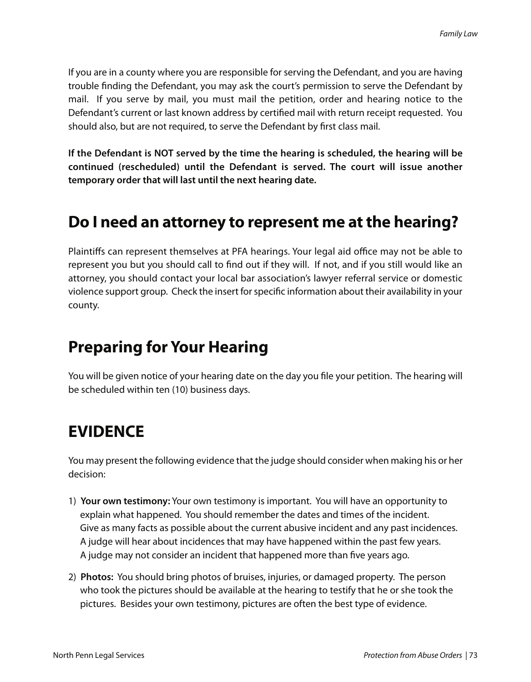If you are in a county where you are responsible for serving the Defendant, and you are having trouble finding the Defendant, you may ask the court's permission to serve the Defendant by mail. If you serve by mail, you must mail the petition, order and hearing notice to the Defendant's current or last known address by certified mail with return receipt requested. You should also, but are not required, to serve the Defendant by first class mail.

**If the Defendant is NOT served by the time the hearing is scheduled, the hearing will be continued (rescheduled) until the Defendant is served. The court will issue another temporary order that will last until the next hearing date.**

### **Do I need an attorney to represent me at the hearing?**

Plaintiffs can represent themselves at PFA hearings. Your legal aid office may not be able to represent you but you should call to find out if they will. If not, and if you still would like an attorney, you should contact your local bar association's lawyer referral service or domestic violence support group. Check the insert for specific information about their availability in your county.

### **Preparing for Your Hearing**

You will be given notice of your hearing date on the day you file your petition. The hearing will be scheduled within ten (10) business days.

### **EVIDENCE**

You may present the following evidence that the judge should consider when making his or her decision:

- 1) **Your own testimony:** Your own testimony is important. You will have an opportunity to explain what happened. You should remember the dates and times of the incident. Give as many facts as possible about the current abusive incident and any past incidences. A judge will hear about incidences that may have happened within the past few years. A judge may not consider an incident that happened more than five years ago.
- 2) **Photos:** You should bring photos of bruises, injuries, or damaged property. The person who took the pictures should be available at the hearing to testify that he or she took the pictures. Besides your own testimony, pictures are often the best type of evidence.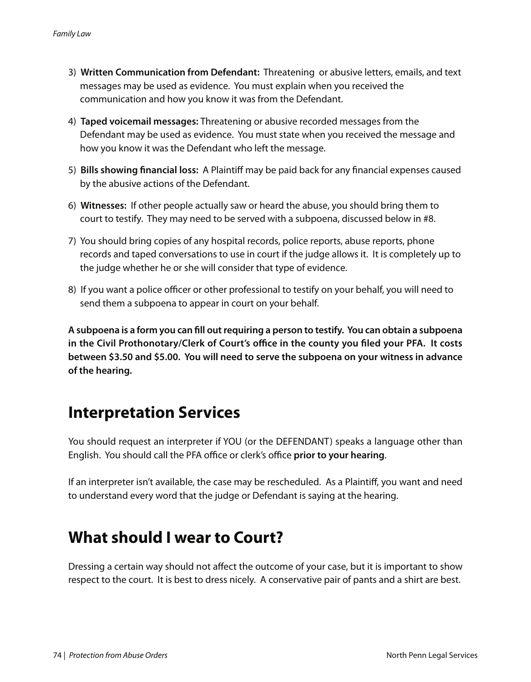- 3) **Written Communication from Defendant:** Threatening or abusive letters, emails, and text messages may be used as evidence. You must explain when you received the communication and how you know it was from the Defendant.
- 4) **Taped voicemail messages:** Threatening or abusive recorded messages from the Defendant may be used as evidence. You must state when you received the message and how you know it was the Defendant who left the message.
- 5) **Bills showing financial loss:** A Plaintiff may be paid back for any financial expenses caused by the abusive actions of the Defendant.
- 6) **Witnesses:** If other people actually saw or heard the abuse, you should bring them to court to testify. They may need to be served with a subpoena, discussed below in #8.
- 7) You should bring copies of any hospital records, police reports, abuse reports, phone records and taped conversations to use in court if the judge allows it. It is completely up to the judge whether he or she will consider that type of evidence.
- 8) If you want a police officer or other professional to testify on your behalf, you will need to send them a subpoena to appear in court on your behalf.

**A subpoena is a form you can fill out requiring a person to testify. You can obtain a subpoena in the Civil Prothonotary/Clerk of Court's office in the county you filed your PFA. It costs between \$3.50 and \$5.00. You will need to serve the subpoena on your witness in advance of the hearing.** 

### **Interpretation services**

You should request an interpreter if YOU (or the DEFENDANT) speaks a language other than English. You should call the PFA office or clerk's office **prior to your hearing**.

If an interpreter isn't available, the case may be rescheduled. As a Plaintiff, you want and need to understand every word that the judge or Defendant is saying at the hearing.

# **What should I wear to Court?**

Dressing a certain way should not affect the outcome of your case, but it is important to show respect to the court. It is best to dress nicely. A conservative pair of pants and a shirt are best.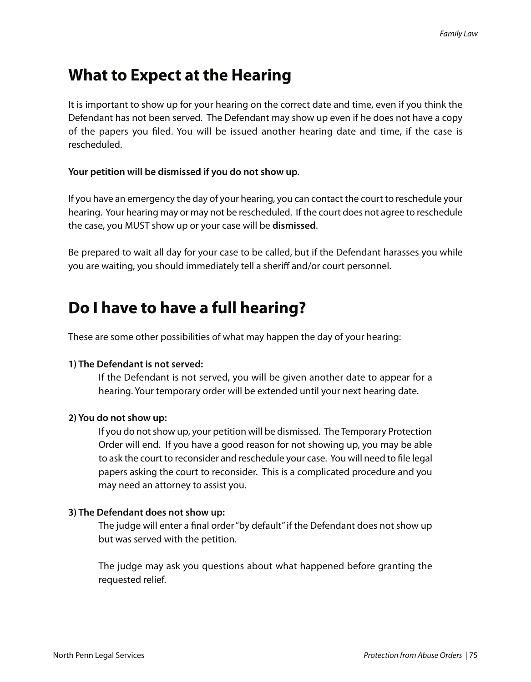# **What to Expect at the Hearing**

It is important to show up for your hearing on the correct date and time, even if you think the Defendant has not been served. The Defendant may show up even if he does not have a copy of the papers you filed. You will be issued another hearing date and time, if the case is rescheduled.

#### **Your petition will be dismissed if you do not show up.**

If you have an emergency the day of your hearing, you can contact the court to reschedule your hearing. Your hearing may or may not be rescheduled. If the court does not agree to reschedule the case, you MUST show up or your case will be **dismissed**.

Be prepared to wait all day for your case to be called, but if the Defendant harasses you while you are waiting, you should immediately tell a sheriff and/or court personnel.

### **Do I have to have a full hearing?**

These are some other possibilities of what may happen the day of your hearing:

#### **1) The Defendant is not served:**

If the Defendant is not served, you will be given another date to appear for a hearing. Your temporary order will be extended until your next hearing date.

#### **2) You do not show up:**

If you do not show up, your petition will be dismissed. The Temporary Protection Order will end. If you have a good reason for not showing up, you may be able to ask the court to reconsider and reschedule your case. You will need to file legal papers asking the court to reconsider. This is a complicated procedure and you may need an attorney to assist you.

#### **3) The Defendant does not show up:**

The judge will enter a final order "by default" if the Defendant does not show up but was served with the petition.

The judge may ask you questions about what happened before granting the requested relief.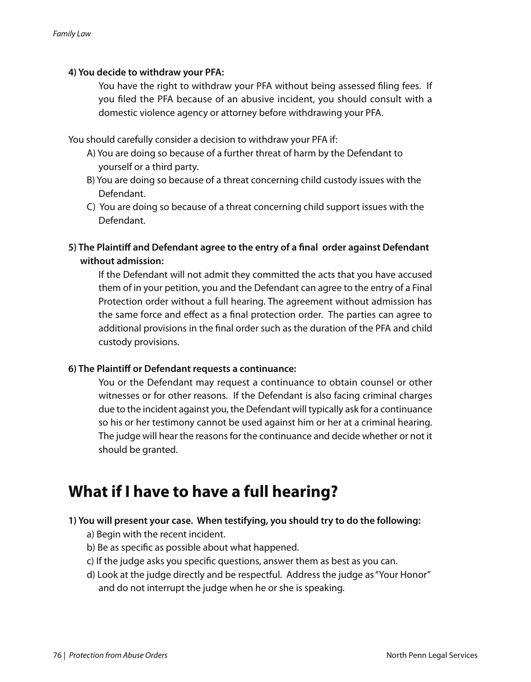#### **4) You decide to withdraw your PFA:**

You have the right to withdraw your PFA without being assessed filing fees. If you filed the PFA because of an abusive incident, you should consult with a domestic violence agency or attorney before withdrawing your PFA.

You should carefully consider a decision to withdraw your PFA if:

- A) You are doing so because of a further threat of harm by the Defendant to yourself or a third party.
- B) You are doing so because of a threat concerning child custody issues with the Defendant.
- C) You are doing so because of a threat concerning child support issues with the Defendant.
- **5) The Plaintiff and Defendant agree to the entry of a final order against Defendant without admission:**

If the Defendant will not admit they committed the acts that you have accused them of in your petition, you and the Defendant can agree to the entry of a Final Protection order without a full hearing. The agreement without admission has the same force and effect as a final protection order. The parties can agree to additional provisions in the final order such as the duration of the PFA and child custody provisions.

#### **6) The Plaintiff or Defendant requests a continuance:**

You or the Defendant may request a continuance to obtain counsel or other witnesses or for other reasons. If the Defendant is also facing criminal charges due to the incident against you, the Defendant will typically ask for a continuance so his or her testimony cannot be used against him or her at a criminal hearing. The judge will hear the reasons for the continuance and decide whether or not it should be granted.

### **What if I have to have a full hearing?**

#### **1) You will present your case. When testifying, you should try to do the following:**

- a) Begin with the recent incident.
- b) Be as specific as possible about what happened.
- c) If the judge asks you specific questions, answer them as best as you can.
- d) Look at the judge directly and be respectful. Address the judge as "Your Honor" and do not interrupt the judge when he or she is speaking.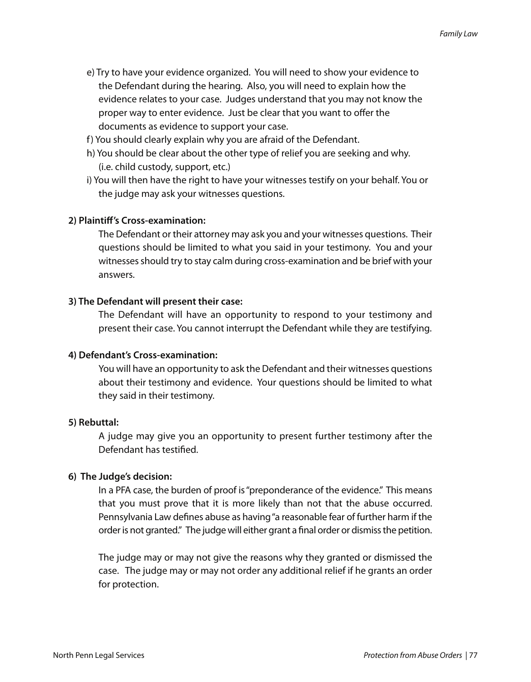- e) Try to have your evidence organized. You will need to show your evidence to the Defendant during the hearing. Also, you will need to explain how the evidence relates to your case. Judges understand that you may not know the proper way to enter evidence. Just be clear that you want to offer the documents as evidence to support your case.
- f) You should clearly explain why you are afraid of the Defendant.
- h) You should be clear about the other type of relief you are seeking and why. (i.e. child custody, support, etc.)
- i) You will then have the right to have your witnesses testify on your behalf. You or the judge may ask your witnesses questions.

#### **2) Plaintiff's Cross-examination:**

The Defendant or their attorney may ask you and your witnesses questions. Their questions should be limited to what you said in your testimony. You and your witnesses should try to stay calm during cross-examination and be brief with your answers.

#### **3) The Defendant will present their case:**

The Defendant will have an opportunity to respond to your testimony and present their case. You cannot interrupt the Defendant while they are testifying.

#### **4) Defendant's Cross-examination:**

You will have an opportunity to ask the Defendant and their witnesses questions about their testimony and evidence. Your questions should be limited to what they said in their testimony.

#### **5) Rebuttal:**

A judge may give you an opportunity to present further testimony after the Defendant has testified.

#### **6) The Judge's decision:**

In a PFA case, the burden of proof is "preponderance of the evidence." This means that you must prove that it is more likely than not that the abuse occurred. Pennsylvania Law defines abuse as having "a reasonable fear of further harm if the order is not granted." The judge will either grant a final order or dismiss the petition.

The judge may or may not give the reasons why they granted or dismissed the case. The judge may or may not order any additional relief if he grants an order for protection.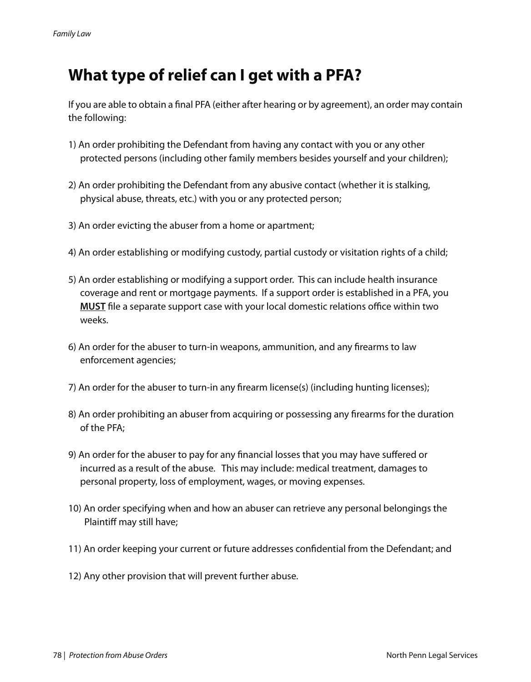# **What type of relief can I get with a PFA?**

If you are able to obtain a final PFA (either after hearing or by agreement), an order may contain the following:

- 1) An order prohibiting the Defendant from having any contact with you or any other protected persons (including other family members besides yourself and your children);
- 2) An order prohibiting the Defendant from any abusive contact (whether it is stalking, physical abuse, threats, etc.) with you or any protected person;
- 3) An order evicting the abuser from a home or apartment;
- 4) An order establishing or modifying custody, partial custody or visitation rights of a child;
- 5) An order establishing or modifying a support order. This can include health insurance coverage and rent or mortgage payments. If a support order is established in a PFA, you **MUST** file a separate support case with your local domestic relations office within two weeks.
- 6) An order for the abuser to turn-in weapons, ammunition, and any firearms to law enforcement agencies;
- 7) An order for the abuser to turn-in any firearm license(s) (including hunting licenses);
- 8) An order prohibiting an abuser from acquiring or possessing any firearms for the duration of the PFA;
- 9) An order for the abuser to pay for any financial losses that you may have suffered or incurred as a result of the abuse. This may include: medical treatment, damages to personal property, loss of employment, wages, or moving expenses.
- 10) An order specifying when and how an abuser can retrieve any personal belongings the Plaintiff may still have;
- 11) An order keeping your current or future addresses confidential from the Defendant; and
- 12) Any other provision that will prevent further abuse.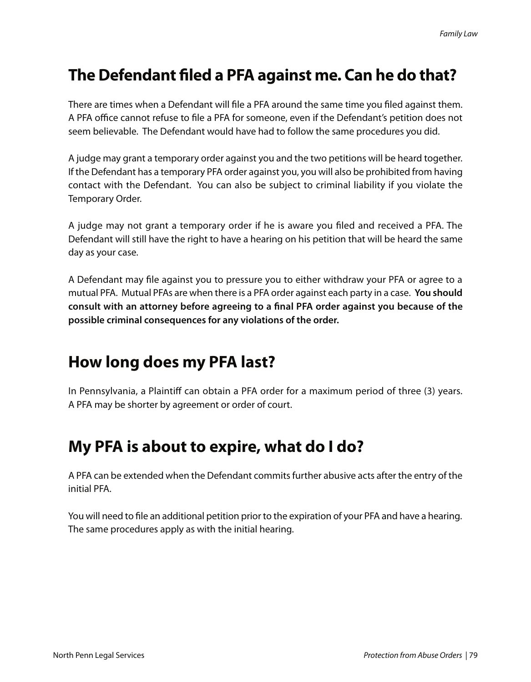### **the Defendant filed a PFA against me. Can he do that?**

There are times when a Defendant will file a PFA around the same time you filed against them. A PFA office cannot refuse to file a PFA for someone, even if the Defendant's petition does not seem believable. The Defendant would have had to follow the same procedures you did.

A judge may grant a temporary order against you and the two petitions will be heard together. If the Defendant has a temporary PFA order against you, you will also be prohibited from having contact with the Defendant. You can also be subject to criminal liability if you violate the Temporary Order.

A judge may not grant a temporary order if he is aware you filed and received a PFA. The Defendant will still have the right to have a hearing on his petition that will be heard the same day as your case.

A Defendant may file against you to pressure you to either withdraw your PFA or agree to a mutual PFA. Mutual PFAs are when there is a PFA order against each party in a case. **You should consult with an attorney before agreeing to a final PFA order against you because of the possible criminal consequences for any violations of the order.** 

# **How long does my PFA last?**

In Pennsylvania, a Plaintiff can obtain a PFA order for a maximum period of three (3) years. A PFA may be shorter by agreement or order of court.

### **my PFA is about to expire, what do I do?**

A PFA can be extended when the Defendant commits further abusive acts after the entry of the initial PFA.

You will need to file an additional petition prior to the expiration of your PFA and have a hearing. The same procedures apply as with the initial hearing.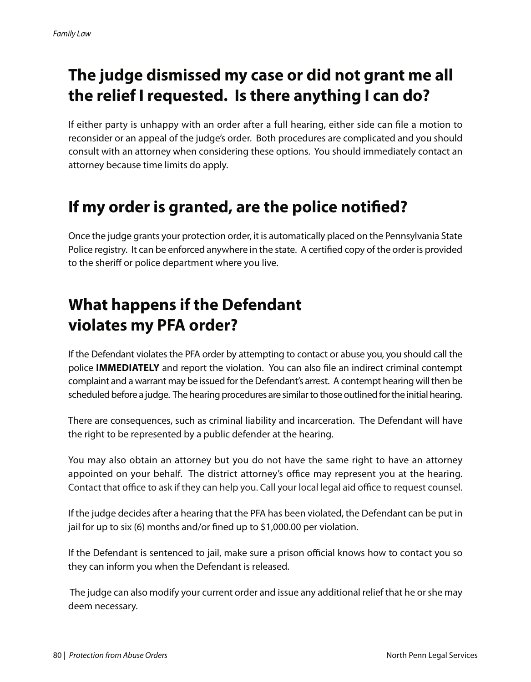# **the judge dismissed my case or did not grant me all the relief I requested. Is there anything I can do?**

If either party is unhappy with an order after a full hearing, either side can file a motion to reconsider or an appeal of the judge's order. Both procedures are complicated and you should consult with an attorney when considering these options. You should immediately contact an attorney because time limits do apply.

# **If my order is granted, are the police notified?**

Once the judge grants your protection order, it is automatically placed on the Pennsylvania State Police registry. It can be enforced anywhere in the state. A certified copy of the order is provided to the sheriff or police department where you live.

# **What happens if the Defendant violates my PFA order?**

If the Defendant violates the PFA order by attempting to contact or abuse you, you should call the police **ImmEDIAtElY** and report the violation. You can also file an indirect criminal contempt complaint and a warrant may be issued for the Defendant's arrest. A contempt hearing will then be scheduled before a judge. The hearing procedures are similar to those outlined for the initial hearing.

There are consequences, such as criminal liability and incarceration. The Defendant will have the right to be represented by a public defender at the hearing.

You may also obtain an attorney but you do not have the same right to have an attorney appointed on your behalf. The district attorney's office may represent you at the hearing. Contact that office to ask if they can help you. Call your local legal aid office to request counsel.

If the judge decides after a hearing that the PFA has been violated, the Defendant can be put in jail for up to six (6) months and/or fined up to \$1,000.00 per violation.

If the Defendant is sentenced to jail, make sure a prison official knows how to contact you so they can inform you when the Defendant is released.

The judge can also modify your current order and issue any additional relief that he or she may deem necessary.